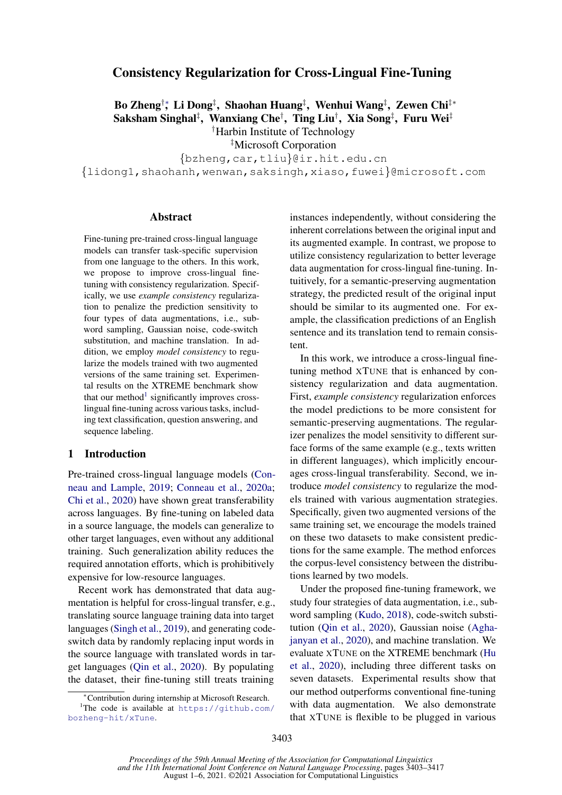# Consistency Regularization for Cross-Lingual Fine-Tuning

Bo Zheng†\*, Li Dong‡, Shaohan Huang‡, Wenhui Wang‡, Zewen Chi‡\* Saksham Singhal $^{\ddagger},\,$  Wanxiang Che $^{\dagger},\,$  Ting Liu $^{\dagger},\,$  Xia Song $^{\ddagger},\,$  Furu Wei $^{\ddagger}$ †Harbin Institute of Technology

‡Microsoft Corporation

{bzheng,car,tliu}@ir.hit.edu.cn {lidong1,shaohanh,wenwan,saksingh,xiaso,fuwei}@microsoft.com

#### Abstract

Fine-tuning pre-trained cross-lingual language models can transfer task-specific supervision from one language to the others. In this work, we propose to improve cross-lingual finetuning with consistency regularization. Specifically, we use *example consistency* regularization to penalize the prediction sensitivity to four types of data augmentations, i.e., subword sampling, Gaussian noise, code-switch substitution, and machine translation. In addition, we employ *model consistency* to regularize the models trained with two augmented versions of the same training set. Experimental results on the XTREME benchmark show that our method<sup>[1](#page-0-0)</sup> significantly improves crosslingual fine-tuning across various tasks, including text classification, question answering, and sequence labeling.

# 1 Introduction

Pre-trained cross-lingual language models [\(Con](#page-8-0)[neau and Lample,](#page-8-0) [2019;](#page-8-0) [Conneau et al.,](#page-8-1) [2020a;](#page-8-1) [Chi et al.,](#page-8-2) [2020\)](#page-8-2) have shown great transferability across languages. By fine-tuning on labeled data in a source language, the models can generalize to other target languages, even without any additional training. Such generalization ability reduces the required annotation efforts, which is prohibitively expensive for low-resource languages.

Recent work has demonstrated that data augmentation is helpful for cross-lingual transfer, e.g., translating source language training data into target languages [\(Singh et al.,](#page-9-0) [2019\)](#page-9-0), and generating codeswitch data by randomly replacing input words in the source language with translated words in target languages [\(Qin et al.,](#page-9-1) [2020\)](#page-9-1). By populating the dataset, their fine-tuning still treats training

instances independently, without considering the inherent correlations between the original input and its augmented example. In contrast, we propose to utilize consistency regularization to better leverage data augmentation for cross-lingual fine-tuning. Intuitively, for a semantic-preserving augmentation strategy, the predicted result of the original input should be similar to its augmented one. For example, the classification predictions of an English sentence and its translation tend to remain consistent.

In this work, we introduce a cross-lingual finetuning method XTUNE that is enhanced by consistency regularization and data augmentation. First, *example consistency* regularization enforces the model predictions to be more consistent for semantic-preserving augmentations. The regularizer penalizes the model sensitivity to different surface forms of the same example (e.g., texts written in different languages), which implicitly encourages cross-lingual transferability. Second, we introduce *model consistency* to regularize the models trained with various augmentation strategies. Specifically, given two augmented versions of the same training set, we encourage the models trained on these two datasets to make consistent predictions for the same example. The method enforces the corpus-level consistency between the distributions learned by two models.

Under the proposed fine-tuning framework, we study four strategies of data augmentation, i.e., subword sampling [\(Kudo,](#page-9-2) [2018\)](#page-9-2), code-switch substitution [\(Qin et al.,](#page-9-1) [2020\)](#page-9-1), Gaussian noise [\(Agha](#page-8-3)[janyan et al.,](#page-8-3) [2020\)](#page-8-3), and machine translation. We evaluate XTUNE on the XTREME benchmark [\(Hu](#page-9-3) [et al.,](#page-9-3) [2020\)](#page-9-3), including three different tasks on seven datasets. Experimental results show that our method outperforms conventional fine-tuning with data augmentation. We also demonstrate that XTUNE is flexible to be plugged in various

<span id="page-0-0"></span><sup>∗</sup>Contribution during internship at Microsoft Research.

<sup>1</sup>The code is available at [https://github.com/](https://github.com/bozheng-hit/xTune) [bozheng-hit/xTune](https://github.com/bozheng-hit/xTune).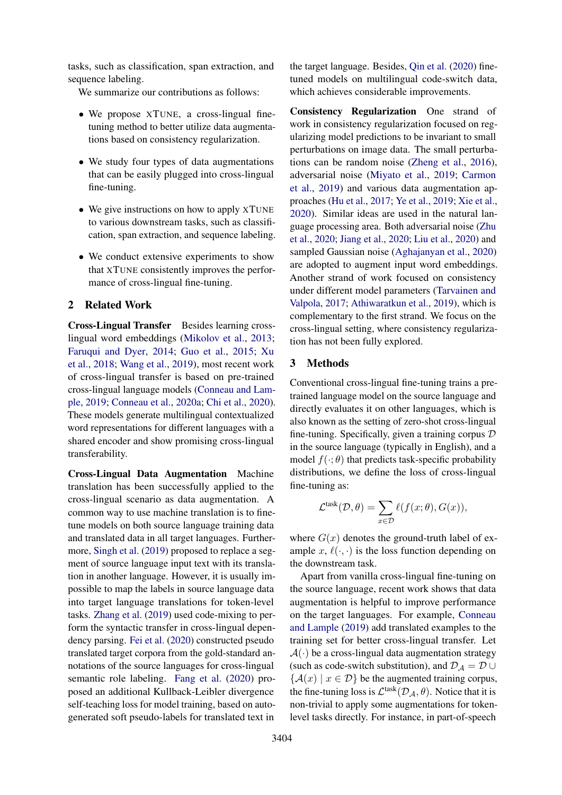tasks, such as classification, span extraction, and sequence labeling.

We summarize our contributions as follows:

- We propose XTUNE, a cross-lingual finetuning method to better utilize data augmentations based on consistency regularization.
- We study four types of data augmentations that can be easily plugged into cross-lingual fine-tuning.
- We give instructions on how to apply XTUNE to various downstream tasks, such as classification, span extraction, and sequence labeling.
- We conduct extensive experiments to show that XTUNE consistently improves the performance of cross-lingual fine-tuning.

## 2 Related Work

Cross-Lingual Transfer Besides learning crosslingual word embeddings [\(Mikolov et al.,](#page-9-4) [2013;](#page-9-4) [Faruqui and Dyer,](#page-8-4) [2014;](#page-8-4) [Guo et al.,](#page-8-5) [2015;](#page-8-5) [Xu](#page-10-0) [et al.,](#page-10-0) [2018;](#page-10-0) [Wang et al.,](#page-9-5) [2019\)](#page-9-5), most recent work of cross-lingual transfer is based on pre-trained cross-lingual language models [\(Conneau and Lam](#page-8-0)[ple,](#page-8-0) [2019;](#page-8-0) [Conneau et al.,](#page-8-1) [2020a;](#page-8-1) [Chi et al.,](#page-8-2) [2020\)](#page-8-2). These models generate multilingual contextualized word representations for different languages with a shared encoder and show promising cross-lingual transferability.

Cross-Lingual Data Augmentation Machine translation has been successfully applied to the cross-lingual scenario as data augmentation. A common way to use machine translation is to finetune models on both source language training data and translated data in all target languages. Furthermore, [Singh et al.](#page-9-0) [\(2019\)](#page-9-0) proposed to replace a segment of source language input text with its translation in another language. However, it is usually impossible to map the labels in source language data into target language translations for token-level tasks. [Zhang et al.](#page-10-1) [\(2019\)](#page-10-1) used code-mixing to perform the syntactic transfer in cross-lingual dependency parsing. [Fei et al.](#page-8-6) [\(2020\)](#page-8-6) constructed pseudo translated target corpora from the gold-standard annotations of the source languages for cross-lingual semantic role labeling. [Fang et al.](#page-8-7) [\(2020\)](#page-8-7) proposed an additional Kullback-Leibler divergence self-teaching loss for model training, based on autogenerated soft pseudo-labels for translated text in

the target language. Besides, [Qin et al.](#page-9-1) [\(2020\)](#page-9-1) finetuned models on multilingual code-switch data, which achieves considerable improvements.

Consistency Regularization One strand of work in consistency regularization focused on regularizing model predictions to be invariant to small perturbations on image data. The small perturbations can be random noise [\(Zheng et al.,](#page-10-2) [2016\)](#page-10-2), adversarial noise [\(Miyato et al.,](#page-9-6) [2019;](#page-9-6) [Carmon](#page-8-8) [et al.,](#page-8-8) [2019\)](#page-8-8) and various data augmentation approaches [\(Hu et al.,](#page-9-7) [2017;](#page-9-7) [Ye et al.,](#page-10-3) [2019;](#page-10-3) [Xie et al.,](#page-10-4) [2020\)](#page-10-4). Similar ideas are used in the natural language processing area. Both adversarial noise [\(Zhu](#page-10-5) [et al.,](#page-10-5) [2020;](#page-10-5) [Jiang et al.,](#page-9-8) [2020;](#page-9-8) [Liu et al.,](#page-9-9) [2020\)](#page-9-9) and sampled Gaussian noise [\(Aghajanyan et al.,](#page-8-3) [2020\)](#page-8-3) are adopted to augment input word embeddings. Another strand of work focused on consistency under different model parameters [\(Tarvainen and](#page-9-10) [Valpola,](#page-9-10) [2017;](#page-9-10) [Athiwaratkun et al.,](#page-8-9) [2019\)](#page-8-9), which is complementary to the first strand. We focus on the cross-lingual setting, where consistency regularization has not been fully explored.

### <span id="page-1-0"></span>3 Methods

Conventional cross-lingual fine-tuning trains a pretrained language model on the source language and directly evaluates it on other languages, which is also known as the setting of zero-shot cross-lingual fine-tuning. Specifically, given a training corpus  $D$ in the source language (typically in English), and a model  $f(\cdot; \theta)$  that predicts task-specific probability distributions, we define the loss of cross-lingual fine-tuning as:

$$
\mathcal{L}^{\text{task}}(\mathcal{D}, \theta) = \sum_{x \in \mathcal{D}} \ell(f(x; \theta), G(x)),
$$

where  $G(x)$  denotes the ground-truth label of example x,  $\ell(\cdot, \cdot)$  is the loss function depending on the downstream task.

Apart from vanilla cross-lingual fine-tuning on the source language, recent work shows that data augmentation is helpful to improve performance on the target languages. For example, [Conneau](#page-8-0) [and Lample](#page-8-0) [\(2019\)](#page-8-0) add translated examples to the training set for better cross-lingual transfer. Let  $\mathcal{A}(\cdot)$  be a cross-lingual data augmentation strategy (such as code-switch substitution), and  $\mathcal{D}_A = \mathcal{D} \cup$  ${A(x) | x \in \mathcal{D}}$  be the augmented training corpus, the fine-tuning loss is  $\mathcal{L}^{\text{task}}(\mathcal{D}_\mathcal{A}, \theta)$ . Notice that it is non-trivial to apply some augmentations for tokenlevel tasks directly. For instance, in part-of-speech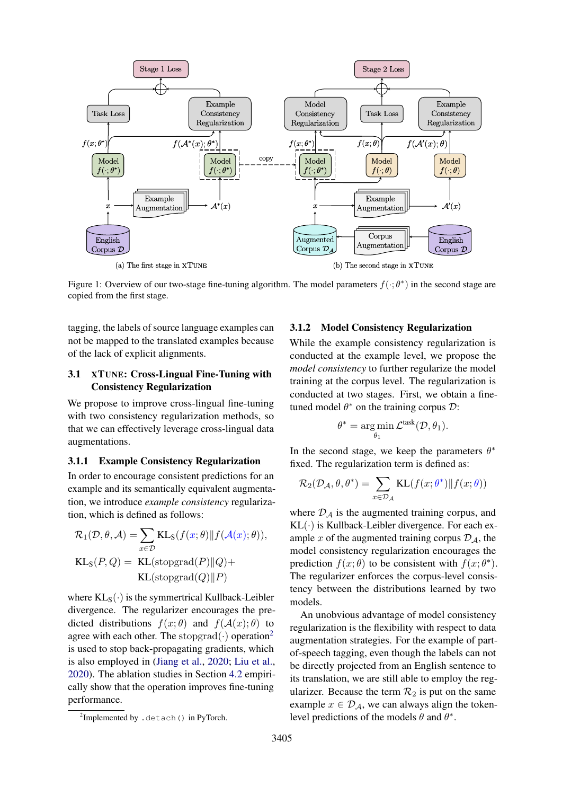<span id="page-2-1"></span>

Figure 1: Overview of our two-stage fine-tuning algorithm. The model parameters  $f(\cdot;\theta^*)$  in the second stage are copied from the first stage.

tagging, the labels of source language examples can not be mapped to the translated examples because of the lack of explicit alignments.

# 3.1 XTUNE: Cross-Lingual Fine-Tuning with Consistency Regularization

We propose to improve cross-lingual fine-tuning with two consistency regularization methods, so that we can effectively leverage cross-lingual data augmentations.

# 3.1.1 Example Consistency Regularization

In order to encourage consistent predictions for an example and its semantically equivalent augmentation, we introduce *example consistency* regularization, which is defined as follows:

$$
\mathcal{R}_1(\mathcal{D}, \theta, \mathcal{A}) = \sum_{x \in \mathcal{D}} \text{KL}_\text{S}(f(x; \theta) || f(\mathcal{A}(x); \theta)),
$$
  

$$
\text{KL}_\text{S}(P, Q) = \text{KL}(\text{stopgrad}(P) || Q) + \text{KL}(\text{stopgrad}(Q) || P)
$$

where  $KL_S(\cdot)$  is the symmertrical Kullback-Leibler divergence. The regularizer encourages the predicted distributions  $f(x; \theta)$  and  $f(A(x); \theta)$  to agree with each other. The stopgrad $(\cdot)$  operation<sup>[2](#page-2-0)</sup> is used to stop back-propagating gradients, which is also employed in [\(Jiang et al.,](#page-9-8) [2020;](#page-9-8) [Liu et al.,](#page-9-9) [2020\)](#page-9-9). The ablation studies in Section [4.2](#page-5-0) empirically show that the operation improves fine-tuning performance.

#### 3.1.2 Model Consistency Regularization

While the example consistency regularization is conducted at the example level, we propose the *model consistency* to further regularize the model training at the corpus level. The regularization is conducted at two stages. First, we obtain a finetuned model  $\theta^*$  on the training corpus  $\mathcal{D}$ :

$$
\theta^* = \underset{\theta_1}{\arg\min} \mathcal{L}^{\text{task}}(\mathcal{D}, \theta_1).
$$

In the second stage, we keep the parameters  $\theta^*$ fixed. The regularization term is defined as:

$$
\mathcal{R}_2(\mathcal{D}_\mathcal{A}, \theta, \theta^*) = \sum_{x \in \mathcal{D}_\mathcal{A}} \text{KL}(f(x; \theta^*) \| f(x; \theta))
$$

where  $\mathcal{D}_A$  is the augmented training corpus, and  $KL(\cdot)$  is Kullback-Leibler divergence. For each example x of the augmented training corpus  $\mathcal{D}_A$ , the model consistency regularization encourages the prediction  $f(x; \theta)$  to be consistent with  $f(x; \theta^*)$ . The regularizer enforces the corpus-level consistency between the distributions learned by two models.

An unobvious advantage of model consistency regularization is the flexibility with respect to data augmentation strategies. For the example of partof-speech tagging, even though the labels can not be directly projected from an English sentence to its translation, we are still able to employ the regularizer. Because the term  $\mathcal{R}_2$  is put on the same example  $x \in \mathcal{D}_{\mathcal{A}}$ , we can always align the tokenlevel predictions of the models  $\theta$  and  $\theta^*$ .

<span id="page-2-0"></span><sup>&</sup>lt;sup>2</sup>Implemented by .detach() in PyTorch.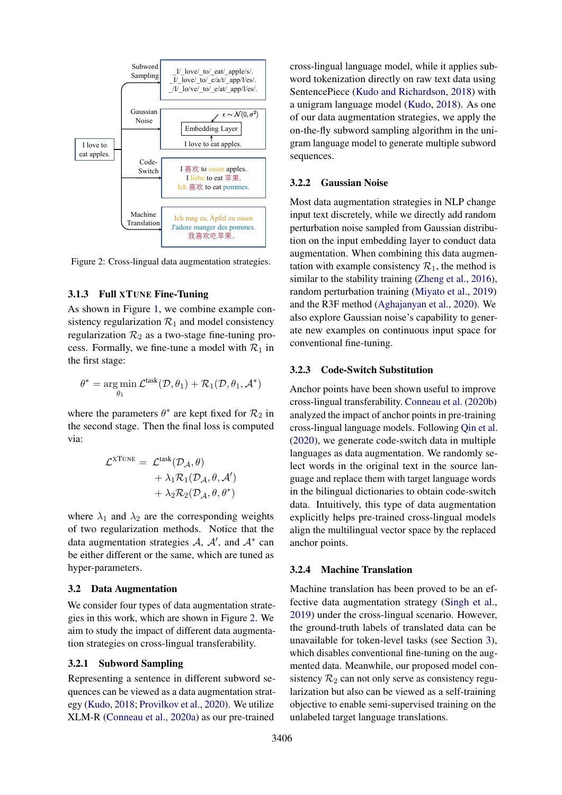<span id="page-3-0"></span>

Figure 2: Cross-lingual data augmentation strategies.

#### 3.1.3 Full XTUNE Fine-Tuning

As shown in Figure [1,](#page-2-1) we combine example consistency regularization  $\mathcal{R}_1$  and model consistency regularization  $\mathcal{R}_2$  as a two-stage fine-tuning process. Formally, we fine-tune a model with  $\mathcal{R}_1$  in the first stage:

$$
\theta^* = \operatornamewithlimits{arg\,min}_{\theta_1} \mathcal{L}^{\text{task}}(\mathcal{D}, \theta_1) + \mathcal{R}_1(\mathcal{D}, \theta_1, \mathcal{A}^*)
$$

where the parameters  $\theta^*$  are kept fixed for  $\mathcal{R}_2$  in the second stage. Then the final loss is computed via:

$$
\mathcal{L}^{\text{XTUNE}} = \mathcal{L}^{\text{task}}(\mathcal{D}_{\mathcal{A}}, \theta) \n+ \lambda_1 \mathcal{R}_1(\mathcal{D}_{\mathcal{A}}, \theta, \mathcal{A}') \n+ \lambda_2 \mathcal{R}_2(\mathcal{D}_{\mathcal{A}}, \theta, \theta^*)
$$

where  $\lambda_1$  and  $\lambda_2$  are the corresponding weights of two regularization methods. Notice that the data augmentation strategies A,  $A'$ , and  $A^*$  can be either different or the same, which are tuned as hyper-parameters.

### 3.2 Data Augmentation

We consider four types of data augmentation strategies in this work, which are shown in Figure [2.](#page-3-0) We aim to study the impact of different data augmentation strategies on cross-lingual transferability.

#### 3.2.1 Subword Sampling

Representing a sentence in different subword sequences can be viewed as a data augmentation strategy [\(Kudo,](#page-9-2) [2018;](#page-9-2) [Provilkov et al.,](#page-9-11) [2020\)](#page-9-11). We utilize XLM-R [\(Conneau et al.,](#page-8-1) [2020a\)](#page-8-1) as our pre-trained

cross-lingual language model, while it applies subword tokenization directly on raw text data using SentencePiece [\(Kudo and Richardson,](#page-9-12) [2018\)](#page-9-12) with a unigram language model [\(Kudo,](#page-9-2) [2018\)](#page-9-2). As one of our data augmentation strategies, we apply the on-the-fly subword sampling algorithm in the unigram language model to generate multiple subword sequences.

#### 3.2.2 Gaussian Noise

Most data augmentation strategies in NLP change input text discretely, while we directly add random perturbation noise sampled from Gaussian distribution on the input embedding layer to conduct data augmentation. When combining this data augmentation with example consistency  $\mathcal{R}_1$ , the method is similar to the stability training [\(Zheng et al.,](#page-10-2) [2016\)](#page-10-2), random perturbation training [\(Miyato et al.,](#page-9-6) [2019\)](#page-9-6) and the R3F method [\(Aghajanyan et al.,](#page-8-3) [2020\)](#page-8-3). We also explore Gaussian noise's capability to generate new examples on continuous input space for conventional fine-tuning.

## 3.2.3 Code-Switch Substitution

Anchor points have been shown useful to improve cross-lingual transferability. [Conneau et al.](#page-8-10) [\(2020b\)](#page-8-10) analyzed the impact of anchor points in pre-training cross-lingual language models. Following [Qin et al.](#page-9-1) [\(2020\)](#page-9-1), we generate code-switch data in multiple languages as data augmentation. We randomly select words in the original text in the source language and replace them with target language words in the bilingual dictionaries to obtain code-switch data. Intuitively, this type of data augmentation explicitly helps pre-trained cross-lingual models align the multilingual vector space by the replaced anchor points.

#### 3.2.4 Machine Translation

Machine translation has been proved to be an effective data augmentation strategy [\(Singh et al.,](#page-9-0) [2019\)](#page-9-0) under the cross-lingual scenario. However, the ground-truth labels of translated data can be unavailable for token-level tasks (see Section [3\)](#page-1-0), which disables conventional fine-tuning on the augmented data. Meanwhile, our proposed model consistency  $\mathcal{R}_2$  can not only serve as consistency regularization but also can be viewed as a self-training objective to enable semi-supervised training on the unlabeled target language translations.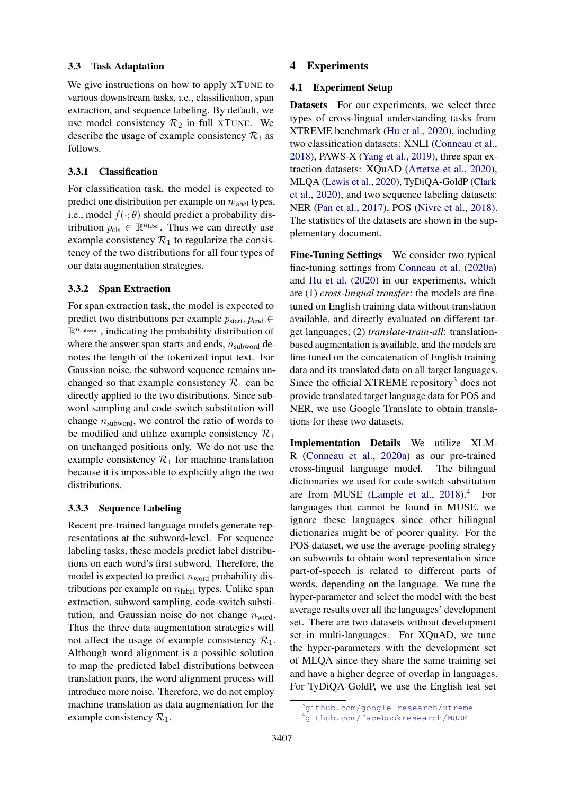## 3.3 Task Adaptation

We give instructions on how to apply XTUNE to various downstream tasks, i.e., classification, span extraction, and sequence labeling. By default, we use model consistency  $\mathcal{R}_2$  in full XTUNE. We describe the usage of example consistency  $\mathcal{R}_1$  as follows.

## 3.3.1 Classification

For classification task, the model is expected to predict one distribution per example on  $n_{\text{label}}$  types, i.e., model  $f(\cdot; \theta)$  should predict a probability distribution  $p_{cls} \in \mathbb{R}^{n_{label}}$ . Thus we can directly use example consistency  $\mathcal{R}_1$  to regularize the consistency of the two distributions for all four types of our data augmentation strategies.

## 3.3.2 Span Extraction

For span extraction task, the model is expected to predict two distributions per example  $p_{start}$ ,  $p_{end} \in$  $\mathbb{R}^{n_{\text{subword}}}$ , indicating the probability distribution of where the answer span starts and ends,  $n_{subword}$  denotes the length of the tokenized input text. For Gaussian noise, the subword sequence remains unchanged so that example consistency  $\mathcal{R}_1$  can be directly applied to the two distributions. Since subword sampling and code-switch substitution will change  $n_{subword}$ , we control the ratio of words to be modified and utilize example consistency  $\mathcal{R}_1$ on unchanged positions only. We do not use the example consistency  $\mathcal{R}_1$  for machine translation because it is impossible to explicitly align the two distributions.

#### 3.3.3 Sequence Labeling

Recent pre-trained language models generate representations at the subword-level. For sequence labeling tasks, these models predict label distributions on each word's first subword. Therefore, the model is expected to predict  $n_{word}$  probability distributions per example on  $n_{\text{label}}$  types. Unlike span extraction, subword sampling, code-switch substitution, and Gaussian noise do not change  $n_{word}$ . Thus the three data augmentation strategies will not affect the usage of example consistency  $\mathcal{R}_1$ . Although word alignment is a possible solution to map the predicted label distributions between translation pairs, the word alignment process will introduce more noise. Therefore, we do not employ machine translation as data augmentation for the example consistency  $\mathcal{R}_1$ .

### 4 Experiments

## 4.1 Experiment Setup

Datasets For our experiments, we select three types of cross-lingual understanding tasks from XTREME benchmark [\(Hu et al.,](#page-9-3) [2020\)](#page-9-3), including two classification datasets: XNLI [\(Conneau et al.,](#page-8-11) [2018\)](#page-8-11), PAWS-X [\(Yang et al.,](#page-10-6) [2019\)](#page-10-6), three span extraction datasets: XQuAD [\(Artetxe et al.,](#page-8-12) [2020\)](#page-8-12), MLQA [\(Lewis et al.,](#page-9-13) [2020\)](#page-9-13), TyDiQA-GoldP [\(Clark](#page-8-13) [et al.,](#page-8-13) [2020\)](#page-8-13), and two sequence labeling datasets: NER [\(Pan et al.,](#page-9-14) [2017\)](#page-9-14), POS [\(Nivre et al.,](#page-9-15) [2018\)](#page-9-15). The statistics of the datasets are shown in the supplementary document.

Fine-Tuning Settings We consider two typical fine-tuning settings from [Conneau et al.](#page-8-1) [\(2020a\)](#page-8-1) and [Hu et al.](#page-9-3) [\(2020\)](#page-9-3) in our experiments, which are (1) *cross-lingual transfer*: the models are finetuned on English training data without translation available, and directly evaluated on different target languages; (2) *translate-train-all*: translationbased augmentation is available, and the models are fine-tuned on the concatenation of English training data and its translated data on all target languages. Since the official XTREME repository<sup>[3](#page-4-0)</sup> does not provide translated target language data for POS and NER, we use Google Translate to obtain translations for these two datasets.

Implementation Details We utilize XLM-R [\(Conneau et al.,](#page-8-1) [2020a\)](#page-8-1) as our pre-trained cross-lingual language model. The bilingual dictionaries we used for code-switch substitution are from MUSE [\(Lample et al.,](#page-9-16) [2018\)](#page-9-16).<sup>[4](#page-4-1)</sup> For languages that cannot be found in MUSE, we ignore these languages since other bilingual dictionaries might be of poorer quality. For the POS dataset, we use the average-pooling strategy on subwords to obtain word representation since part-of-speech is related to different parts of words, depending on the language. We tune the hyper-parameter and select the model with the best average results over all the languages' development set. There are two datasets without development set in multi-languages. For XQuAD, we tune the hyper-parameters with the development set of MLQA since they share the same training set and have a higher degree of overlap in languages. For TyDiQA-GoldP, we use the English test set

<span id="page-4-1"></span><span id="page-4-0"></span><sup>3</sup><github.com/google-research/xtreme>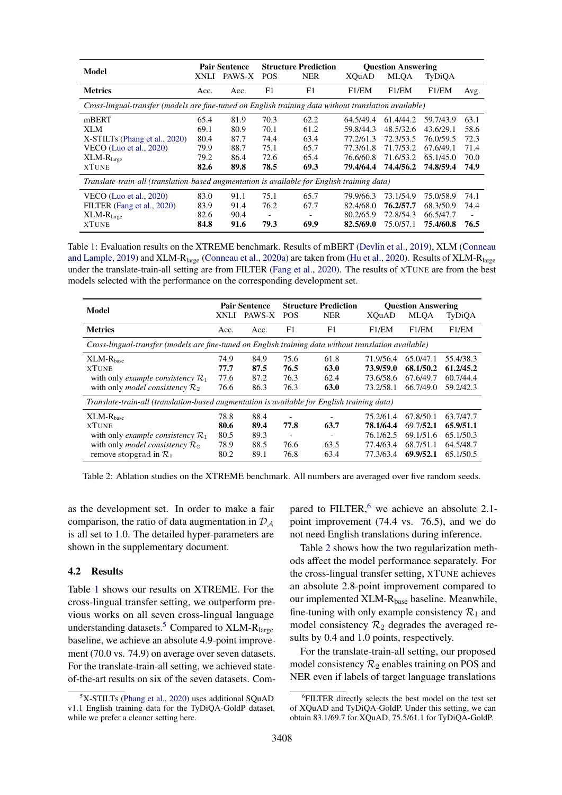<span id="page-5-1"></span>

| Model                                                                                                 | XNLI | <b>Pair Sentence</b><br>PAWS-X | <b>POS</b>               | <b>Structure Prediction</b><br><b>NER</b> | XOuAD     | <b>Question Answering</b><br><b>MLOA</b> | TyDiQA    |                          |
|-------------------------------------------------------------------------------------------------------|------|--------------------------------|--------------------------|-------------------------------------------|-----------|------------------------------------------|-----------|--------------------------|
| <b>Metrics</b>                                                                                        | Acc. | Acc.                           | F1                       | F1                                        | F1/EM     | F1/EM                                    | F1/EM     | Avg.                     |
| Cross-lingual-transfer (models are fine-tuned on English training data without translation available) |      |                                |                          |                                           |           |                                          |           |                          |
| mBERT                                                                                                 | 65.4 | 81.9                           | 70.3                     | 62.2                                      | 64.5/49.4 | 61.4/44.2                                | 59.7/43.9 | 63.1                     |
| XLM                                                                                                   | 69.1 | 80.9                           | 70.1                     | 61.2                                      | 59.8/44.3 | 48.5/32.6                                | 43.6/29.1 | 58.6                     |
| X-STILTs (Phang et al., 2020)                                                                         | 80.4 | 87.7                           | 74.4                     | 63.4                                      | 77.2/61.3 | 72.3/53.5                                | 76.0/59.5 | 72.3                     |
| VECO (Luo et al., $2020$ )                                                                            | 79.9 | 88.7                           | 75.1                     | 65.7                                      | 77.3/61.8 | 71.7/53.2                                | 67.6/49.1 | 71.4                     |
| $XLM-Rlarge$                                                                                          | 79.2 | 86.4                           | 72.6                     | 65.4                                      | 76.6/60.8 | 71.6/53.2                                | 65.1/45.0 | 70.0                     |
| <b>XTUNE</b>                                                                                          | 82.6 | 89.8                           | 78.5                     | 69.3                                      | 79.4/64.4 | 74.4/56.2                                | 74.8/59.4 | 74.9                     |
| Translate-train-all (translation-based augmentation is available for English training data)           |      |                                |                          |                                           |           |                                          |           |                          |
| VECO (Luo et al., 2020)                                                                               | 83.0 | 91.1                           | 75.1                     | 65.7                                      | 79.9/66.3 | 73.1/54.9                                | 75.0/58.9 | 74.1                     |
| FILTER (Fang et al., 2020)                                                                            | 83.9 | 91.4                           | 76.2                     | 67.7                                      | 82.4/68.0 | 76.2/57.7                                | 68.3/50.9 | 74.4                     |
| $XLM-Rlarge$                                                                                          | 82.6 | 90.4                           | $\overline{\phantom{a}}$ |                                           | 80.2/65.9 | 72.8/54.3                                | 66.5/47.7 | $\overline{\phantom{a}}$ |
| <b>XTUNE</b>                                                                                          | 84.8 | 91.6                           | 79.3                     | 69.9                                      | 82.5/69.0 | 75.0/57.1                                | 75.4/60.8 | 76.5                     |

Table 1: Evaluation results on the XTREME benchmark. Results of mBERT [\(Devlin et al.,](#page-8-14) [2019\)](#page-8-14), XLM [\(Conneau](#page-8-0) [and Lample,](#page-8-0) [2019\)](#page-8-0) and XLM-R<sub>large</sub> [\(Conneau et al.,](#page-8-1) [2020a\)](#page-8-1) are taken from [\(Hu et al.,](#page-9-3) [2020\)](#page-9-3). Results of XLM-R<sub>large</sub> under the translate-train-all setting are from FILTER [\(Fang et al.,](#page-8-7) [2020\)](#page-8-7). The results of XTUNE are from the best models selected with the performance on the corresponding development set.

<span id="page-5-4"></span>

| Model                                                                                                 |      | <b>Pair Sentence</b> |                          | <b>Structure Prediction</b> |           | <b>Ouestion Answering</b> |           |
|-------------------------------------------------------------------------------------------------------|------|----------------------|--------------------------|-----------------------------|-----------|---------------------------|-----------|
|                                                                                                       | XNLI | PAWS-X               | <b>POS</b>               | <b>NER</b>                  | XOuAD     | <b>MLQA</b>               | TyDiQA    |
| <b>Metrics</b>                                                                                        | Acc. | Acc.                 | F1                       | F1                          | F1/EM     | F1/EM                     | F1/EM     |
| Cross-lingual-transfer (models are fine-tuned on English training data without translation available) |      |                      |                          |                             |           |                           |           |
| $XLM-Rbase$                                                                                           | 74.9 | 84.9                 | 75.6                     | 61.8                        | 71.9/56.4 | 65.0/47.1                 | 55.4/38.3 |
| <b>XTUNE</b>                                                                                          | 77.7 | 87.5                 | 76.5                     | 63.0                        | 73.9/59.0 | 68.1/50.2                 | 61.2/45.2 |
| with only example consistency $\mathcal{R}_1$                                                         | 77.6 | 87.2                 | 76.3                     | 62.4                        | 73.6/58.6 | 67.6/49.7                 | 60.7/44.4 |
| with only <i>model consistency</i> $\mathcal{R}_2$                                                    | 76.6 | 86.3                 | 76.3                     | 63.0                        | 73.2/58.1 | 66.7/49.0                 | 59.2/42.3 |
| Translate-train-all (translation-based augmentation is available for English training data)           |      |                      |                          |                             |           |                           |           |
| $XLM-Rbase$                                                                                           | 78.8 | 88.4                 | $\overline{\phantom{0}}$ |                             | 75.2/61.4 | 67.8/50.1                 | 63.7/47.7 |
| <b>XTUNE</b>                                                                                          | 80.6 | 89.4                 | 77.8                     | 63.7                        | 78.1/64.4 | 69.7/52.1                 | 65.9/51.1 |
| with only example consistency $\mathcal{R}_1$                                                         | 80.5 | 89.3                 | $\overline{\phantom{0}}$ |                             | 76.1/62.5 | 69.1/51.6                 | 65.1/50.3 |
| with only <i>model consistency</i> $\mathcal{R}_2$                                                    | 78.9 | 88.5                 | 76.6                     | 63.5                        | 77.4/63.4 | 68.7/51.1                 | 64.5/48.7 |
| remove stopgrad in $\mathcal{R}_1$                                                                    | 80.2 | 89.1                 | 76.8                     | 63.4                        | 77.3/63.4 | 69.9/52.1                 | 65.1/50.5 |

Table 2: Ablation studies on the XTREME benchmark. All numbers are averaged over five random seeds.

as the development set. In order to make a fair comparison, the ratio of data augmentation in  $\mathcal{D}_4$ is all set to 1.0. The detailed hyper-parameters are shown in the supplementary document.

#### <span id="page-5-0"></span>4.2 Results

Table [1](#page-5-1) shows our results on XTREME. For the cross-lingual transfer setting, we outperform previous works on all seven cross-lingual language understanding datasets.<sup>[5](#page-5-2)</sup> Compared to  $XLM-R<sub>lare</sub>$ baseline, we achieve an absolute 4.9-point improvement (70.0 vs. 74.9) on average over seven datasets. For the translate-train-all setting, we achieved stateof-the-art results on six of the seven datasets. Compared to FILTER, $<sup>6</sup>$  $<sup>6</sup>$  $<sup>6</sup>$  we achieve an absolute 2.1-</sup> point improvement (74.4 vs. 76.5), and we do not need English translations during inference.

Table [2](#page-5-4) shows how the two regularization methods affect the model performance separately. For the cross-lingual transfer setting, XTUNE achieves an absolute 2.8-point improvement compared to our implemented XLM-R<sub>base</sub> baseline. Meanwhile, fine-tuning with only example consistency  $\mathcal{R}_1$  and model consistency  $\mathcal{R}_2$  degrades the averaged results by 0.4 and 1.0 points, respectively.

For the translate-train-all setting, our proposed model consistency  $\mathcal{R}_2$  enables training on POS and NER even if labels of target language translations

<span id="page-5-2"></span><sup>&</sup>lt;sup>5</sup>X-STILTs [\(Phang et al.,](#page-9-17) [2020\)](#page-9-17) uses additional SQuAD v1.1 English training data for the TyDiQA-GoldP dataset, while we prefer a cleaner setting here.

<span id="page-5-3"></span><sup>6</sup> FILTER directly selects the best model on the test set of XQuAD and TyDiQA-GoldP. Under this setting, we can obtain 83.1/69.7 for XQuAD, 75.5/61.1 for TyDiQA-GoldP.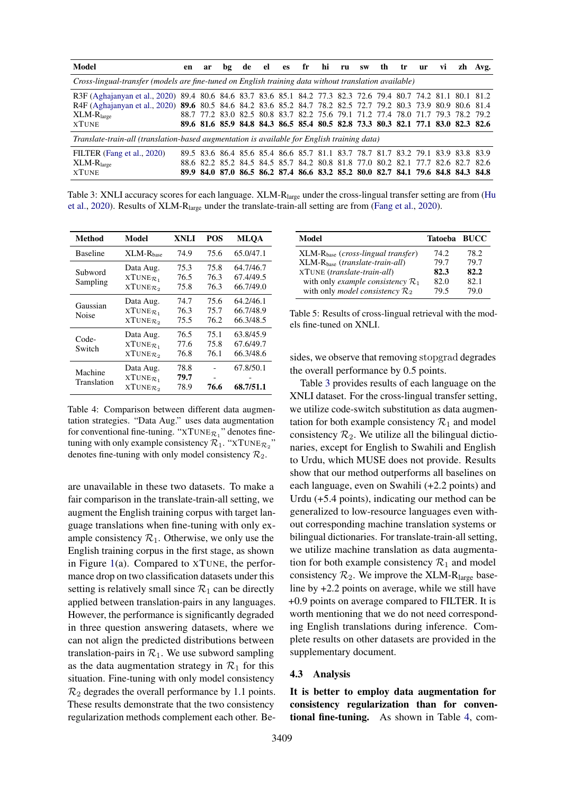<span id="page-6-0"></span>

| Model                                                                                                         | en | ar | bg |  |  |  | de el es fr hi ru sw th tr ur vi                                                |  |  |  |  |  |  | zh Avg.                                                                         |
|---------------------------------------------------------------------------------------------------------------|----|----|----|--|--|--|---------------------------------------------------------------------------------|--|--|--|--|--|--|---------------------------------------------------------------------------------|
| Cross-lingual-transfer (models are fine-tuned on English training data without translation available)         |    |    |    |  |  |  |                                                                                 |  |  |  |  |  |  |                                                                                 |
| R3F (Aghajanyan et al., 2020) 89.4 80.6 84.6 83.7 83.6 85.1 84.2 77.3 82.3 72.6 79.4 80.7 74.2 81.1 80.1 81.2 |    |    |    |  |  |  |                                                                                 |  |  |  |  |  |  |                                                                                 |
| R4F (Aghajanyan et al., 2020) 89.6 80.5 84.6 84.2 83.6 85.2 84.7 78.2 82.5 72.7 79.2 80.3 73.9 80.9 80.6 81.4 |    |    |    |  |  |  |                                                                                 |  |  |  |  |  |  |                                                                                 |
| $XLM-Rlarge$                                                                                                  |    |    |    |  |  |  | 88.7 77.2 83.0 82.5 80.8 83.7 82.2 75.6 79.1 71.2 77.4 78.0 71.7 79.3 78.2 79.2 |  |  |  |  |  |  |                                                                                 |
| <b>XTUNE</b>                                                                                                  |    |    |    |  |  |  |                                                                                 |  |  |  |  |  |  | 89.6 81.6 85.9 84.8 84.3 86.5 85.4 80.5 82.8 73.3 80.3 82.1 77.1 83.0 82.3 82.6 |
| Translate-train-all (translation-based augmentation is available for English training data)                   |    |    |    |  |  |  |                                                                                 |  |  |  |  |  |  |                                                                                 |
| FILTER (Fang et al., 2020)                                                                                    |    |    |    |  |  |  | 89.5 83.6 86.4 85.6 85.4 86.6 85.7 81.1 83.7 78.7 81.7 83.2 79.1 83.9 83.8 83.9 |  |  |  |  |  |  |                                                                                 |
| $XLM-Rlarge$                                                                                                  |    |    |    |  |  |  | 88.6 82.2 85.2 84.5 84.5 85.7 84.2 80.8 81.8 77.0 80.2 82.1 77.7 82.6 82.7 82.6 |  |  |  |  |  |  |                                                                                 |
| <b>XTUNE</b>                                                                                                  |    |    |    |  |  |  | 89.9 84.0 87.0 86.5 86.2 87.4 86.6 83.2 85.2 80.0 82.7 84.1 79.6 84.8 84.3 84.8 |  |  |  |  |  |  |                                                                                 |

Table 3: XNLI accuracy scores for each language. XLM-R<sub>large</sub> under the cross-lingual transfer setting are from [\(Hu](#page-9-3) [et al.,](#page-9-3) [2020\)](#page-9-3). Results of XLM-Rlarge under the translate-train-all setting are from [\(Fang et al.,](#page-8-7) [2020\)](#page-8-7).

<span id="page-6-1"></span>

| Method                 | Model                                                           | <b>XNLI</b>          | <b>POS</b>           | <b>MLOA</b>                         |
|------------------------|-----------------------------------------------------------------|----------------------|----------------------|-------------------------------------|
| <b>Baseline</b>        | $XLM-Rbase$                                                     | 74.9                 | 75.6                 | 65.0/47.1                           |
| Subword<br>Sampling    | Data Aug.<br>$XTUNE_{\mathcal{R}_1}$<br>$XTUNE_{\mathcal{R}_2}$ | 75.3<br>76.5<br>75.8 | 75.8<br>76.3<br>76.3 | 64.7/46.7<br>67.4/49.5<br>66.7/49.0 |
| Gaussian<br>Noise      | Data Aug.<br>$XTUNE_{\mathcal{R}_1}$<br>$XTUNE_{\mathcal{R}_2}$ | 74.7<br>76.3<br>75.5 | 75.6<br>75.7<br>76.2 | 64.2/46.1<br>66.7/48.9<br>66.3/48.5 |
| Code-<br>Switch        | Data Aug.<br>$XTUNE_{\mathcal{R}_1}$<br>$XTUNE_{\mathcal{R}_2}$ | 76.5<br>77.6<br>76.8 | 75.1<br>75.8<br>76.1 | 63.8/45.9<br>67.6/49.7<br>66.3/48.6 |
| Machine<br>Translation | Data Aug.<br>$XTUNE_{\mathcal{R}_1}$<br>$XTUNE_{\mathcal{R}_2}$ | 78.8<br>79.7<br>78.9 | 76.6                 | 67.8/50.1<br>68.7/51.1              |

Table 4: Comparison between different data augmentation strategies. "Data Aug." uses data augmentation for conventional fine-tuning. " $XTUNE_{\mathcal{R}_1}$ " denotes finetuning with only example consistency  $\mathcal{R}_1$ . "XTUNE $_{\mathcal{R}_2}$ " denotes fine-tuning with only model consistency  $\mathcal{R}_2$ .

are unavailable in these two datasets. To make a fair comparison in the translate-train-all setting, we augment the English training corpus with target language translations when fine-tuning with only example consistency  $\mathcal{R}_1$ . Otherwise, we only use the English training corpus in the first stage, as shown in Figure [1\(](#page-2-1)a). Compared to XTUNE, the performance drop on two classification datasets under this setting is relatively small since  $\mathcal{R}_1$  can be directly applied between translation-pairs in any languages. However, the performance is significantly degraded in three question answering datasets, where we can not align the predicted distributions between translation-pairs in  $\mathcal{R}_1$ . We use subword sampling as the data augmentation strategy in  $\mathcal{R}_1$  for this situation. Fine-tuning with only model consistency  $\mathcal{R}_2$  degrades the overall performance by 1.1 points. These results demonstrate that the two consistency regularization methods complement each other. Be-

<span id="page-6-2"></span>

| Tatoeba BUCC |      |
|--------------|------|
| 74.2         | 78.2 |
| 79.7         | 79.7 |
| 82.3         | 82.2 |
| 82.0         | 82.1 |
| 79.5         | 79.0 |
|              |      |

Table 5: Results of cross-lingual retrieval with the models fine-tuned on XNLI.

sides, we observe that removing stopgrad degrades the overall performance by 0.5 points.

Table [3](#page-6-0) provides results of each language on the XNLI dataset. For the cross-lingual transfer setting, we utilize code-switch substitution as data augmentation for both example consistency  $\mathcal{R}_1$  and model consistency  $\mathcal{R}_2$ . We utilize all the bilingual dictionaries, except for English to Swahili and English to Urdu, which MUSE does not provide. Results show that our method outperforms all baselines on each language, even on Swahili (+2.2 points) and Urdu (+5.4 points), indicating our method can be generalized to low-resource languages even without corresponding machine translation systems or bilingual dictionaries. For translate-train-all setting, we utilize machine translation as data augmentation for both example consistency  $\mathcal{R}_1$  and model consistency  $\mathcal{R}_2$ . We improve the XLM-R<sub>large</sub> baseline by +2.2 points on average, while we still have +0.9 points on average compared to FILTER. It is worth mentioning that we do not need corresponding English translations during inference. Complete results on other datasets are provided in the supplementary document.

## 4.3 Analysis

It is better to employ data augmentation for consistency regularization than for conventional fine-tuning. As shown in Table [4,](#page-6-1) com-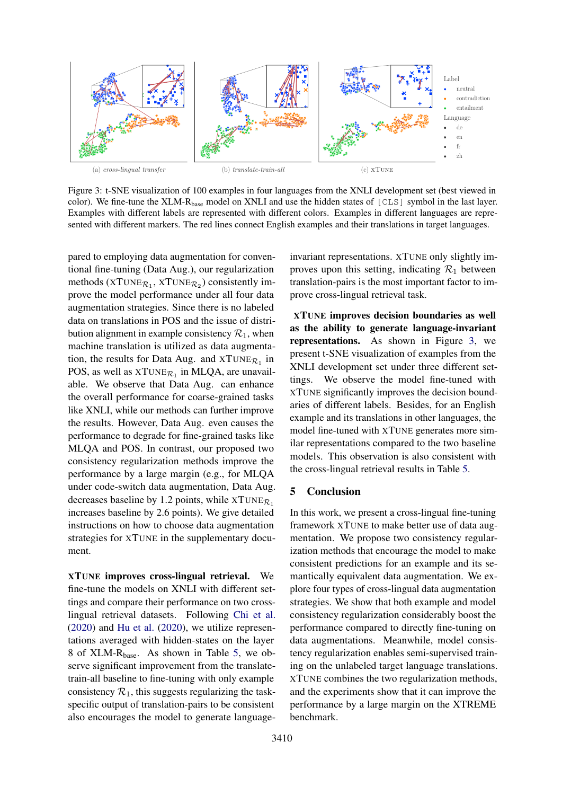<span id="page-7-0"></span>

Figure 3: t-SNE visualization of 100 examples in four languages from the XNLI development set (best viewed in color). We fine-tune the XLM-R<sub>base</sub> model on XNLI and use the hidden states of  $[CLS]$  symbol in the last layer. Examples with different labels are represented with different colors. Examples in different languages are represented with different markers. The red lines connect English examples and their translations in target languages.

pared to employing data augmentation for conventional fine-tuning (Data Aug.), our regularization methods (XTUNE $R_1$ , XTUNE $R_2$ ) consistently improve the model performance under all four data augmentation strategies. Since there is no labeled data on translations in POS and the issue of distribution alignment in example consistency  $\mathcal{R}_1$ , when machine translation is utilized as data augmentation, the results for Data Aug. and  $XTUNE_{\mathcal{R}_1}$  in POS, as well as  $XTUNE_{\mathcal{R}_1}$  in MLQA, are unavailable. We observe that Data Aug. can enhance the overall performance for coarse-grained tasks like XNLI, while our methods can further improve the results. However, Data Aug. even causes the performance to degrade for fine-grained tasks like MLQA and POS. In contrast, our proposed two consistency regularization methods improve the performance by a large margin (e.g., for MLQA under code-switch data augmentation, Data Aug. decreases baseline by 1.2 points, while  $XTUNE_{\mathcal{R}_1}$ increases baseline by 2.6 points). We give detailed instructions on how to choose data augmentation strategies for XTUNE in the supplementary document.

XTUNE improves cross-lingual retrieval. We fine-tune the models on XNLI with different settings and compare their performance on two crosslingual retrieval datasets. Following [Chi et al.](#page-8-2) [\(2020\)](#page-8-2) and [Hu et al.](#page-9-3) [\(2020\)](#page-9-3), we utilize representations averaged with hidden-states on the layer 8 of XLM-Rbase. As shown in Table [5,](#page-6-2) we observe significant improvement from the translatetrain-all baseline to fine-tuning with only example consistency  $\mathcal{R}_1$ , this suggests regularizing the taskspecific output of translation-pairs to be consistent also encourages the model to generate language-

invariant representations. XTUNE only slightly improves upon this setting, indicating  $\mathcal{R}_1$  between translation-pairs is the most important factor to improve cross-lingual retrieval task.

XTUNE improves decision boundaries as well as the ability to generate language-invariant representations. As shown in Figure [3,](#page-7-0) we present t-SNE visualization of examples from the XNLI development set under three different settings. We observe the model fine-tuned with XTUNE significantly improves the decision boundaries of different labels. Besides, for an English example and its translations in other languages, the model fine-tuned with XTUNE generates more similar representations compared to the two baseline models. This observation is also consistent with the cross-lingual retrieval results in Table [5.](#page-6-2)

## 5 Conclusion

In this work, we present a cross-lingual fine-tuning framework XTUNE to make better use of data augmentation. We propose two consistency regularization methods that encourage the model to make consistent predictions for an example and its semantically equivalent data augmentation. We explore four types of cross-lingual data augmentation strategies. We show that both example and model consistency regularization considerably boost the performance compared to directly fine-tuning on data augmentations. Meanwhile, model consistency regularization enables semi-supervised training on the unlabeled target language translations. XTUNE combines the two regularization methods, and the experiments show that it can improve the performance by a large margin on the XTREME benchmark.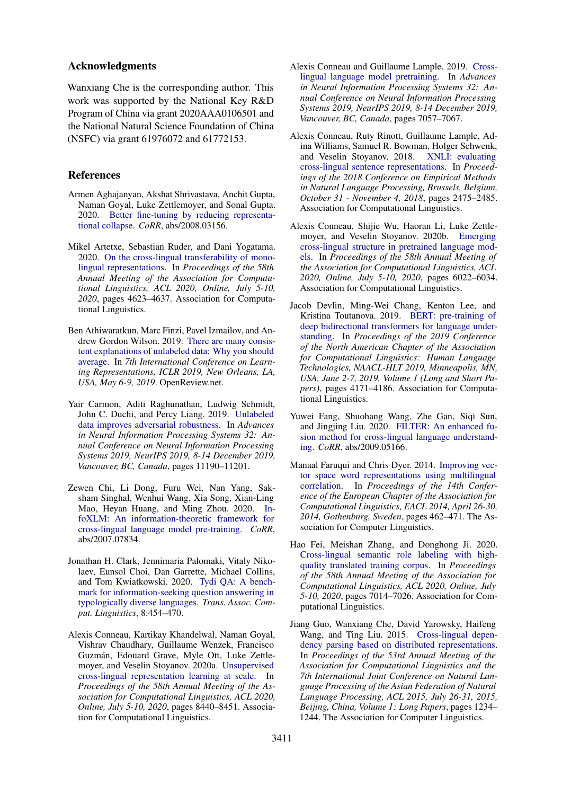## Acknowledgments

Wanxiang Che is the corresponding author. This work was supported by the National Key R&D Program of China via grant 2020AAA0106501 and the National Natural Science Foundation of China (NSFC) via grant 61976072 and 61772153.

## References

- <span id="page-8-3"></span>Armen Aghajanyan, Akshat Shrivastava, Anchit Gupta, Naman Goyal, Luke Zettlemoyer, and Sonal Gupta. 2020. [Better fine-tuning by reducing representa](http://arxiv.org/abs/2008.03156)[tional collapse.](http://arxiv.org/abs/2008.03156) *CoRR*, abs/2008.03156.
- <span id="page-8-12"></span>Mikel Artetxe, Sebastian Ruder, and Dani Yogatama. 2020. [On the cross-lingual transferability of mono](https://www.aclweb.org/anthology/2020.acl-main.421/)[lingual representations.](https://www.aclweb.org/anthology/2020.acl-main.421/) In *Proceedings of the 58th Annual Meeting of the Association for Computational Linguistics, ACL 2020, Online, July 5-10, 2020*, pages 4623–4637. Association for Computational Linguistics.
- <span id="page-8-9"></span>Ben Athiwaratkun, Marc Finzi, Pavel Izmailov, and Andrew Gordon Wilson. 2019. [There are many consis](https://openreview.net/forum?id=rkgKBhA5Y7)[tent explanations of unlabeled data: Why you should](https://openreview.net/forum?id=rkgKBhA5Y7) [average.](https://openreview.net/forum?id=rkgKBhA5Y7) In *7th International Conference on Learning Representations, ICLR 2019, New Orleans, LA, USA, May 6-9, 2019*. OpenReview.net.
- <span id="page-8-8"></span>Yair Carmon, Aditi Raghunathan, Ludwig Schmidt, John C. Duchi, and Percy Liang. 2019. [Unlabeled](http://papers.nips.cc/paper/9298-unlabeled-data-improves-adversarial-robustness) [data improves adversarial robustness.](http://papers.nips.cc/paper/9298-unlabeled-data-improves-adversarial-robustness) In *Advances in Neural Information Processing Systems 32: Annual Conference on Neural Information Processing Systems 2019, NeurIPS 2019, 8-14 December 2019, Vancouver, BC, Canada*, pages 11190–11201.
- <span id="page-8-2"></span>Zewen Chi, Li Dong, Furu Wei, Nan Yang, Saksham Singhal, Wenhui Wang, Xia Song, Xian-Ling Mao, Heyan Huang, and Ming Zhou. 2020. [In](http://arxiv.org/abs/2007.07834)[foXLM: An information-theoretic framework for](http://arxiv.org/abs/2007.07834) [cross-lingual language model pre-training.](http://arxiv.org/abs/2007.07834) *CoRR*, abs/2007.07834.
- <span id="page-8-13"></span>Jonathan H. Clark, Jennimaria Palomaki, Vitaly Nikolaev, Eunsol Choi, Dan Garrette, Michael Collins, and Tom Kwiatkowski. 2020. [Tydi QA: A bench](https://transacl.org/ojs/index.php/tacl/article/view/1929)[mark for information-seeking question answering in](https://transacl.org/ojs/index.php/tacl/article/view/1929) [typologically diverse languages.](https://transacl.org/ojs/index.php/tacl/article/view/1929) *Trans. Assoc. Comput. Linguistics*, 8:454–470.
- <span id="page-8-1"></span>Alexis Conneau, Kartikay Khandelwal, Naman Goyal, Vishrav Chaudhary, Guillaume Wenzek, Francisco Guzman, Edouard Grave, Myle Ott, Luke Zettle- ´ moyer, and Veselin Stoyanov. 2020a. [Unsupervised](https://www.aclweb.org/anthology/2020.acl-main.747/) [cross-lingual representation learning at scale.](https://www.aclweb.org/anthology/2020.acl-main.747/) In *Proceedings of the 58th Annual Meeting of the Association for Computational Linguistics, ACL 2020, Online, July 5-10, 2020*, pages 8440–8451. Association for Computational Linguistics.
- <span id="page-8-0"></span>Alexis Conneau and Guillaume Lample. 2019. [Cross](http://papers.nips.cc/paper/8928-cross-lingual-language-model-pretraining)[lingual language model pretraining.](http://papers.nips.cc/paper/8928-cross-lingual-language-model-pretraining) In *Advances in Neural Information Processing Systems 32: Annual Conference on Neural Information Processing Systems 2019, NeurIPS 2019, 8-14 December 2019, Vancouver, BC, Canada*, pages 7057–7067.
- <span id="page-8-11"></span>Alexis Conneau, Ruty Rinott, Guillaume Lample, Adina Williams, Samuel R. Bowman, Holger Schwenk, and Veselin Stoyanov. 2018. [XNLI: evaluating](https://doi.org/10.18653/v1/d18-1269) [cross-lingual sentence representations.](https://doi.org/10.18653/v1/d18-1269) In *Proceedings of the 2018 Conference on Empirical Methods in Natural Language Processing, Brussels, Belgium, October 31 - November 4, 2018*, pages 2475–2485. Association for Computational Linguistics.
- <span id="page-8-10"></span>Alexis Conneau, Shijie Wu, Haoran Li, Luke Zettlemoyer, and Veselin Stoyanov. 2020b. [Emerging](https://www.aclweb.org/anthology/2020.acl-main.536/) [cross-lingual structure in pretrained language mod](https://www.aclweb.org/anthology/2020.acl-main.536/)[els.](https://www.aclweb.org/anthology/2020.acl-main.536/) In *Proceedings of the 58th Annual Meeting of the Association for Computational Linguistics, ACL 2020, Online, July 5-10, 2020*, pages 6022–6034. Association for Computational Linguistics.
- <span id="page-8-14"></span>Jacob Devlin, Ming-Wei Chang, Kenton Lee, and Kristina Toutanova. 2019. [BERT: pre-training of](https://doi.org/10.18653/v1/n19-1423) [deep bidirectional transformers for language under](https://doi.org/10.18653/v1/n19-1423)[standing.](https://doi.org/10.18653/v1/n19-1423) In *Proceedings of the 2019 Conference of the North American Chapter of the Association for Computational Linguistics: Human Language Technologies, NAACL-HLT 2019, Minneapolis, MN, USA, June 2-7, 2019, Volume 1 (Long and Short Papers)*, pages 4171–4186. Association for Computational Linguistics.
- <span id="page-8-7"></span>Yuwei Fang, Shuohang Wang, Zhe Gan, Siqi Sun, and Jingjing Liu. 2020. [FILTER: An enhanced fu](http://arxiv.org/abs/2009.05166)[sion method for cross-lingual language understand](http://arxiv.org/abs/2009.05166)[ing.](http://arxiv.org/abs/2009.05166) *CoRR*, abs/2009.05166.
- <span id="page-8-4"></span>Manaal Faruqui and Chris Dyer. 2014. [Improving vec](https://doi.org/10.3115/v1/e14-1049)[tor space word representations using multilingual](https://doi.org/10.3115/v1/e14-1049) [correlation.](https://doi.org/10.3115/v1/e14-1049) In *Proceedings of the 14th Conference of the European Chapter of the Association for Computational Linguistics, EACL 2014, April 26-30, 2014, Gothenburg, Sweden*, pages 462–471. The Association for Computer Linguistics.
- <span id="page-8-6"></span>Hao Fei, Meishan Zhang, and Donghong Ji. 2020. [Cross-lingual semantic role labeling with high](https://www.aclweb.org/anthology/2020.acl-main.627/)[quality translated training corpus.](https://www.aclweb.org/anthology/2020.acl-main.627/) In *Proceedings of the 58th Annual Meeting of the Association for Computational Linguistics, ACL 2020, Online, July 5-10, 2020*, pages 7014–7026. Association for Computational Linguistics.
- <span id="page-8-5"></span>Jiang Guo, Wanxiang Che, David Yarowsky, Haifeng Wang, and Ting Liu. 2015. [Cross-lingual depen](https://doi.org/10.3115/v1/p15-1119)[dency parsing based on distributed representations.](https://doi.org/10.3115/v1/p15-1119) In *Proceedings of the 53rd Annual Meeting of the Association for Computational Linguistics and the 7th International Joint Conference on Natural Language Processing of the Asian Federation of Natural Language Processing, ACL 2015, July 26-31, 2015, Beijing, China, Volume 1: Long Papers*, pages 1234– 1244. The Association for Computer Linguistics.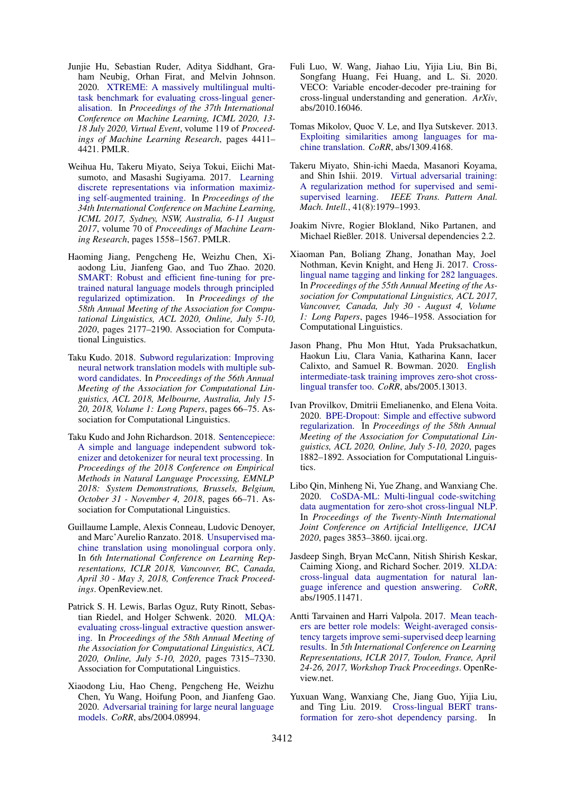- <span id="page-9-3"></span>Junjie Hu, Sebastian Ruder, Aditya Siddhant, Graham Neubig, Orhan Firat, and Melvin Johnson. 2020. [XTREME: A massively multilingual multi](http://proceedings.mlr.press/v119/hu20b.html)[task benchmark for evaluating cross-lingual gener](http://proceedings.mlr.press/v119/hu20b.html)[alisation.](http://proceedings.mlr.press/v119/hu20b.html) In *Proceedings of the 37th International Conference on Machine Learning, ICML 2020, 13- 18 July 2020, Virtual Event*, volume 119 of *Proceedings of Machine Learning Research*, pages 4411– 4421. PMLR.
- <span id="page-9-7"></span>Weihua Hu, Takeru Miyato, Seiya Tokui, Eiichi Matsumoto, and Masashi Sugiyama. 2017. [Learning](http://proceedings.mlr.press/v70/hu17b.html) [discrete representations via information maximiz](http://proceedings.mlr.press/v70/hu17b.html)[ing self-augmented training.](http://proceedings.mlr.press/v70/hu17b.html) In *Proceedings of the 34th International Conference on Machine Learning, ICML 2017, Sydney, NSW, Australia, 6-11 August 2017*, volume 70 of *Proceedings of Machine Learning Research*, pages 1558–1567. PMLR.
- <span id="page-9-8"></span>Haoming Jiang, Pengcheng He, Weizhu Chen, Xiaodong Liu, Jianfeng Gao, and Tuo Zhao. 2020. [SMART: Robust and efficient fine-tuning for pre](https://www.aclweb.org/anthology/2020.acl-main.197/)[trained natural language models through principled](https://www.aclweb.org/anthology/2020.acl-main.197/) [regularized optimization.](https://www.aclweb.org/anthology/2020.acl-main.197/) In *Proceedings of the 58th Annual Meeting of the Association for Computational Linguistics, ACL 2020, Online, July 5-10, 2020*, pages 2177–2190. Association for Computational Linguistics.
- <span id="page-9-2"></span>Taku Kudo. 2018. [Subword regularization: Improving](https://doi.org/10.18653/v1/P18-1007) [neural network translation models with multiple sub](https://doi.org/10.18653/v1/P18-1007)[word candidates.](https://doi.org/10.18653/v1/P18-1007) In *Proceedings of the 56th Annual Meeting of the Association for Computational Linguistics, ACL 2018, Melbourne, Australia, July 15- 20, 2018, Volume 1: Long Papers*, pages 66–75. Association for Computational Linguistics.
- <span id="page-9-12"></span>Taku Kudo and John Richardson. 2018. [Sentencepiece:](https://doi.org/10.18653/v1/d18-2012) [A simple and language independent subword tok](https://doi.org/10.18653/v1/d18-2012)[enizer and detokenizer for neural text processing.](https://doi.org/10.18653/v1/d18-2012) In *Proceedings of the 2018 Conference on Empirical Methods in Natural Language Processing, EMNLP 2018: System Demonstrations, Brussels, Belgium, October 31 - November 4, 2018*, pages 66–71. Association for Computational Linguistics.
- <span id="page-9-16"></span>Guillaume Lample, Alexis Conneau, Ludovic Denoyer, and Marc'Aurelio Ranzato. 2018. [Unsupervised ma](https://openreview.net/forum?id=rkYTTf-AZ)[chine translation using monolingual corpora only.](https://openreview.net/forum?id=rkYTTf-AZ) In *6th International Conference on Learning Representations, ICLR 2018, Vancouver, BC, Canada, April 30 - May 3, 2018, Conference Track Proceedings*. OpenReview.net.
- <span id="page-9-13"></span>Patrick S. H. Lewis, Barlas Oguz, Ruty Rinott, Sebastian Riedel, and Holger Schwenk. 2020. [MLQA:](https://www.aclweb.org/anthology/2020.acl-main.653/) [evaluating cross-lingual extractive question answer](https://www.aclweb.org/anthology/2020.acl-main.653/)[ing.](https://www.aclweb.org/anthology/2020.acl-main.653/) In *Proceedings of the 58th Annual Meeting of the Association for Computational Linguistics, ACL 2020, Online, July 5-10, 2020*, pages 7315–7330. Association for Computational Linguistics.
- <span id="page-9-9"></span>Xiaodong Liu, Hao Cheng, Pengcheng He, Weizhu Chen, Yu Wang, Hoifung Poon, and Jianfeng Gao. 2020. [Adversarial training for large neural language](http://arxiv.org/abs/2004.08994) [models.](http://arxiv.org/abs/2004.08994) *CoRR*, abs/2004.08994.
- <span id="page-9-18"></span>Fuli Luo, W. Wang, Jiahao Liu, Yijia Liu, Bin Bi, Songfang Huang, Fei Huang, and L. Si. 2020. VECO: Variable encoder-decoder pre-training for cross-lingual understanding and generation. *ArXiv*, abs/2010.16046.
- <span id="page-9-4"></span>Tomas Mikolov, Quoc V. Le, and Ilya Sutskever. 2013. [Exploiting similarities among languages for ma](http://arxiv.org/abs/1309.4168)[chine translation.](http://arxiv.org/abs/1309.4168) *CoRR*, abs/1309.4168.
- <span id="page-9-6"></span>Takeru Miyato, Shin-ichi Maeda, Masanori Koyama, and Shin Ishii. 2019. [Virtual adversarial training:](https://doi.org/10.1109/TPAMI.2018.2858821) [A regularization method for supervised and semi](https://doi.org/10.1109/TPAMI.2018.2858821)[supervised learning.](https://doi.org/10.1109/TPAMI.2018.2858821) *IEEE Trans. Pattern Anal. Mach. Intell.*, 41(8):1979–1993.
- <span id="page-9-15"></span>Joakim Nivre, Rogier Blokland, Niko Partanen, and Michael Rießler. 2018. Universal dependencies 2.2.
- <span id="page-9-14"></span>Xiaoman Pan, Boliang Zhang, Jonathan May, Joel Nothman, Kevin Knight, and Heng Ji. 2017. [Cross](https://doi.org/10.18653/v1/P17-1178)[lingual name tagging and linking for 282 languages.](https://doi.org/10.18653/v1/P17-1178) In *Proceedings of the 55th Annual Meeting of the Association for Computational Linguistics, ACL 2017, Vancouver, Canada, July 30 - August 4, Volume 1: Long Papers*, pages 1946–1958. Association for Computational Linguistics.
- <span id="page-9-17"></span>Jason Phang, Phu Mon Htut, Yada Pruksachatkun, Haokun Liu, Clara Vania, Katharina Kann, Iacer Calixto, and Samuel R. Bowman. 2020. [English](http://arxiv.org/abs/2005.13013) [intermediate-task training improves zero-shot cross](http://arxiv.org/abs/2005.13013)[lingual transfer too.](http://arxiv.org/abs/2005.13013) *CoRR*, abs/2005.13013.
- <span id="page-9-11"></span>Ivan Provilkov, Dmitrii Emelianenko, and Elena Voita. 2020. [BPE-Dropout: Simple and effective subword](https://www.aclweb.org/anthology/2020.acl-main.170/) [regularization.](https://www.aclweb.org/anthology/2020.acl-main.170/) In *Proceedings of the 58th Annual Meeting of the Association for Computational Linguistics, ACL 2020, Online, July 5-10, 2020*, pages 1882–1892. Association for Computational Linguistics.
- <span id="page-9-1"></span>Libo Qin, Minheng Ni, Yue Zhang, and Wanxiang Che. 2020. [CoSDA-ML: Multi-lingual code-switching](https://doi.org/10.24963/ijcai.2020/533) [data augmentation for zero-shot cross-lingual NLP.](https://doi.org/10.24963/ijcai.2020/533) In *Proceedings of the Twenty-Ninth International Joint Conference on Artificial Intelligence, IJCAI 2020*, pages 3853–3860. ijcai.org.
- <span id="page-9-0"></span>Jasdeep Singh, Bryan McCann, Nitish Shirish Keskar, Caiming Xiong, and Richard Socher. 2019. [XLDA:](http://arxiv.org/abs/1905.11471) [cross-lingual data augmentation for natural lan](http://arxiv.org/abs/1905.11471)[guage inference and question answering.](http://arxiv.org/abs/1905.11471) *CoRR*, abs/1905.11471.
- <span id="page-9-10"></span>Antti Tarvainen and Harri Valpola. 2017. [Mean teach](https://openreview.net/forum?id=ry8u21rtl)[ers are better role models: Weight-averaged consis](https://openreview.net/forum?id=ry8u21rtl)[tency targets improve semi-supervised deep learning](https://openreview.net/forum?id=ry8u21rtl) [results.](https://openreview.net/forum?id=ry8u21rtl) In *5th International Conference on Learning Representations, ICLR 2017, Toulon, France, April 24-26, 2017, Workshop Track Proceedings*. OpenReview.net.
- <span id="page-9-5"></span>Yuxuan Wang, Wanxiang Che, Jiang Guo, Yijia Liu, and Ting Liu. 2019. [Cross-lingual BERT trans](https://doi.org/10.18653/v1/D19-1575)[formation for zero-shot dependency parsing.](https://doi.org/10.18653/v1/D19-1575) In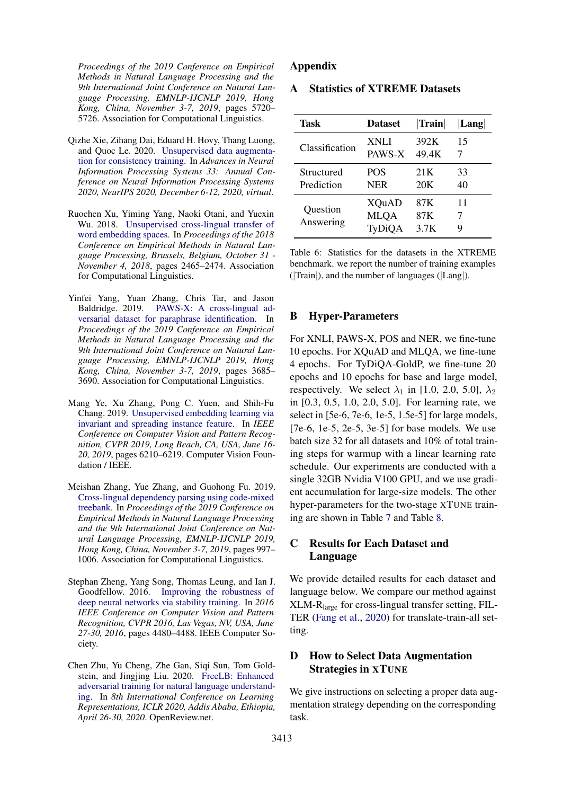*Proceedings of the 2019 Conference on Empirical Methods in Natural Language Processing and the 9th International Joint Conference on Natural Language Processing, EMNLP-IJCNLP 2019, Hong Kong, China, November 3-7, 2019*, pages 5720– 5726. Association for Computational Linguistics.

- <span id="page-10-4"></span>Qizhe Xie, Zihang Dai, Eduard H. Hovy, Thang Luong, and Quoc Le. 2020. [Unsupervised data augmenta](https://proceedings.neurips.cc/paper/2020/hash/44feb0096faa8326192570788b38c1d1-Abstract.html)[tion for consistency training.](https://proceedings.neurips.cc/paper/2020/hash/44feb0096faa8326192570788b38c1d1-Abstract.html) In *Advances in Neural Information Processing Systems 33: Annual Conference on Neural Information Processing Systems 2020, NeurIPS 2020, December 6-12, 2020, virtual*.
- <span id="page-10-0"></span>Ruochen Xu, Yiming Yang, Naoki Otani, and Yuexin Wu. 2018. [Unsupervised cross-lingual transfer of](https://doi.org/10.18653/v1/d18-1268) [word embedding spaces.](https://doi.org/10.18653/v1/d18-1268) In *Proceedings of the 2018 Conference on Empirical Methods in Natural Language Processing, Brussels, Belgium, October 31 - November 4, 2018*, pages 2465–2474. Association for Computational Linguistics.
- <span id="page-10-6"></span>Yinfei Yang, Yuan Zhang, Chris Tar, and Jason Baldridge. 2019. [PAWS-X: A cross-lingual ad](https://doi.org/10.18653/v1/D19-1382)[versarial dataset for paraphrase identification.](https://doi.org/10.18653/v1/D19-1382) In *Proceedings of the 2019 Conference on Empirical Methods in Natural Language Processing and the 9th International Joint Conference on Natural Language Processing, EMNLP-IJCNLP 2019, Hong Kong, China, November 3-7, 2019*, pages 3685– 3690. Association for Computational Linguistics.
- <span id="page-10-3"></span>Mang Ye, Xu Zhang, Pong C. Yuen, and Shih-Fu Chang. 2019. [Unsupervised embedding learning via](https://doi.org/10.1109/CVPR.2019.00637) [invariant and spreading instance feature.](https://doi.org/10.1109/CVPR.2019.00637) In *IEEE Conference on Computer Vision and Pattern Recognition, CVPR 2019, Long Beach, CA, USA, June 16- 20, 2019*, pages 6210–6219. Computer Vision Foundation / IEEE.
- <span id="page-10-1"></span>Meishan Zhang, Yue Zhang, and Guohong Fu. 2019. [Cross-lingual dependency parsing using code-mixed](https://doi.org/10.18653/v1/D19-1092) [treebank.](https://doi.org/10.18653/v1/D19-1092) In *Proceedings of the 2019 Conference on Empirical Methods in Natural Language Processing and the 9th International Joint Conference on Natural Language Processing, EMNLP-IJCNLP 2019, Hong Kong, China, November 3-7, 2019*, pages 997– 1006. Association for Computational Linguistics.
- <span id="page-10-2"></span>Stephan Zheng, Yang Song, Thomas Leung, and Ian J. Goodfellow. 2016. [Improving the robustness of](https://doi.org/10.1109/CVPR.2016.485) [deep neural networks via stability training.](https://doi.org/10.1109/CVPR.2016.485) In *2016 IEEE Conference on Computer Vision and Pattern Recognition, CVPR 2016, Las Vegas, NV, USA, June 27-30, 2016*, pages 4480–4488. IEEE Computer Society.
- <span id="page-10-5"></span>Chen Zhu, Yu Cheng, Zhe Gan, Siqi Sun, Tom Goldstein, and Jingjing Liu. 2020. [FreeLB: Enhanced](https://openreview.net/forum?id=BygzbyHFvB) [adversarial training for natural language understand](https://openreview.net/forum?id=BygzbyHFvB)[ing.](https://openreview.net/forum?id=BygzbyHFvB) In *8th International Conference on Learning Representations, ICLR 2020, Addis Ababa, Ethiopia, April 26-30, 2020*. OpenReview.net.

## Appendix

## A Statistics of XTREME Datasets

| <b>Task</b>           | <b>Dataset</b>                        | <b>Train</b>       | Lang         |
|-----------------------|---------------------------------------|--------------------|--------------|
| Classification        | XNLI                                  | 392K               | 15           |
|                       | PAWS-X                                | 49.4K              | 7            |
| Structured            | <b>POS</b>                            | 21K                | 33           |
| Prediction            | <b>NER</b>                            | 20K                | 40           |
| Question<br>Answering | <b>XQuAD</b><br><b>MLQA</b><br>TyDiQA | 87K<br>87K<br>3.7K | 11<br>7<br>Q |

Table 6: Statistics for the datasets in the XTREME benchmark. we report the number of training examples (|Train|), and the number of languages (|Lang|).

#### B Hyper-Parameters

For XNLI, PAWS-X, POS and NER, we fine-tune 10 epochs. For XQuAD and MLQA, we fine-tune 4 epochs. For TyDiQA-GoldP, we fine-tune 20 epochs and 10 epochs for base and large model, respectively. We select  $\lambda_1$  in [1.0, 2.0, 5.0],  $\lambda_2$ in [0.3, 0.5, 1.0, 2.0, 5.0]. For learning rate, we select in [5e-6, 7e-6, 1e-5, 1.5e-5] for large models,  $[7e-6, 1e-5, 2e-5, 3e-5]$  for base models. We use batch size 32 for all datasets and 10% of total training steps for warmup with a linear learning rate schedule. Our experiments are conducted with a single 32GB Nvidia V100 GPU, and we use gradient accumulation for large-size models. The other hyper-parameters for the two-stage XTUNE training are shown in Table [7](#page-11-0) and Table [8.](#page-11-1)

# C Results for Each Dataset and Language

We provide detailed results for each dataset and language below. We compare our method against XLM-Rlarge for cross-lingual transfer setting, FIL-TER [\(Fang et al.,](#page-8-7) [2020\)](#page-8-7) for translate-train-all setting.

# D How to Select Data Augmentation Strategies in XTUNE

We give instructions on selecting a proper data augmentation strategy depending on the corresponding task.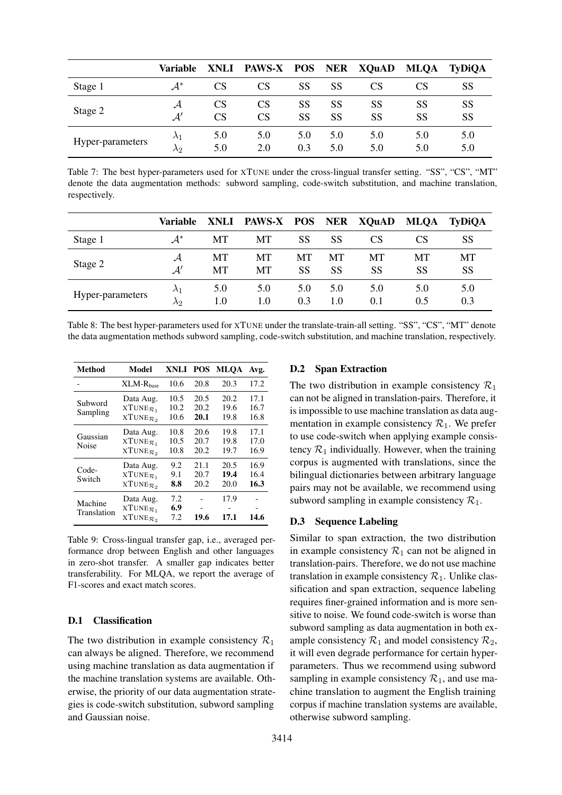<span id="page-11-0"></span>

|                  | Variable        | XNLI            | PAWS-X POS |     | <b>NER</b> | <b>XQuAD</b> | <b>MLQA</b> | <b>TyDiOA</b> |
|------------------|-----------------|-----------------|------------|-----|------------|--------------|-------------|---------------|
| Stage 1          | $\mathcal{A}^*$ | CS              | CS         | SS  | SS         | CS           |             | SS            |
| Stage 2          | А               | CS              | CS         | SS  | SS         | SS           | SS          | SS            |
|                  | $\mathcal{A}'$  | CS <sup>-</sup> | CS         | SS  | SS         | SS           | SS          | SS            |
| Hyper-parameters | $\lambda_1$     | 5.0             | 5.0        | 5.0 | 5.0        | 5.0          | 5.0         | 5.0           |
|                  | $\lambda$ 2     | 5.0             | 2.0        | 0.3 | 5.0        | 5.0          | 5.0         | 5.0           |

Table 7: The best hyper-parameters used for XTUNE under the cross-lingual transfer setting. "SS", "CS", "MT" denote the data augmentation methods: subword sampling, code-switch substitution, and machine translation, respectively.

<span id="page-11-1"></span>

|                  | Variable                   |            | XNLI PAWS-X POS NER XQuAD |            |            |            | <b>MLQA</b> | TyDiQA          |
|------------------|----------------------------|------------|---------------------------|------------|------------|------------|-------------|-----------------|
| Stage 1          | $A^*$                      | MТ         | MT                        | SS         | SS         | CS         | CS          | SS              |
| Stage 2          | $\mathcal{A}'$             | MT<br>MT   | MT<br>MT                  | MT<br>SS   | MT<br>SS   | MТ<br>SS   | MТ<br>SS    | MT<br><b>SS</b> |
| Hyper-parameters | $\lambda_1$<br>$\lambda$ 2 | 5.0<br>1.0 | 5.0<br>1.0                | 5.0<br>0.3 | 5.0<br>1.0 | 5.0<br>0.1 | 5.0<br>0.5  | 5.0<br>0.3      |

Table 8: The best hyper-parameters used for XTUNE under the translate-train-all setting. "SS", "CS", "MT" denote the data augmentation methods subword sampling, code-switch substitution, and machine translation, respectively.

<span id="page-11-2"></span>

| Method                 | Model                                                           | XNLI POS             |                      | <b>MLOA</b>          | Avg.                 |
|------------------------|-----------------------------------------------------------------|----------------------|----------------------|----------------------|----------------------|
|                        | $XLM-Rbase$                                                     | 10.6                 | 20.8                 | 20.3                 | 17.2                 |
| Subword<br>Sampling    | Data Aug.<br>$XTUNE_{\mathcal{R}_1}$<br>$XTUNE_{\mathcal{R}_2}$ | 10.5<br>10.2<br>10.6 | 20.5<br>20.2<br>20.1 | 20.2<br>19.6<br>19.8 | 17.1<br>16.7<br>16.8 |
| Gaussian<br>Noise      | Data Aug.<br>$XTUNE_{\mathcal{R}_1}$<br>$XTUNE_{\mathcal{R}_2}$ | 10.8<br>10.5<br>10.8 | 20.6<br>20.7<br>20.2 | 19.8<br>19.8<br>19.7 | 17.1<br>17.0<br>16.9 |
| Code-<br>Switch        | Data Aug.<br>$XTUNE_{\mathcal{R}_1}$<br>$XTUNE_{\mathcal{R}}$   | 9.2<br>9.1<br>8.8    | 21.1<br>20.7<br>20.2 | 20.5<br>19.4<br>20.0 | 16.9<br>16.4<br>16.3 |
| Machine<br>Translation | Data Aug.<br>$XTUNE_{\mathcal{R}_1}$<br>$XTUNE_{\mathcal{R}_2}$ | 7.2<br>6.9<br>7.2    | 19.6                 | 17.9<br>17.1         | 14.6                 |

Table 9: Cross-lingual transfer gap, i.e., averaged performance drop between English and other languages in zero-shot transfer. A smaller gap indicates better transferability. For MLQA, we report the average of F1-scores and exact match scores.

### D.1 Classification

The two distribution in example consistency  $\mathcal{R}_1$ can always be aligned. Therefore, we recommend using machine translation as data augmentation if the machine translation systems are available. Otherwise, the priority of our data augmentation strategies is code-switch substitution, subword sampling and Gaussian noise.

# D.2 Span Extraction

The two distribution in example consistency  $\mathcal{R}_1$ can not be aligned in translation-pairs. Therefore, it is impossible to use machine translation as data augmentation in example consistency  $\mathcal{R}_1$ . We prefer to use code-switch when applying example consistency  $\mathcal{R}_1$  individually. However, when the training corpus is augmented with translations, since the bilingual dictionaries between arbitrary language pairs may not be available, we recommend using subword sampling in example consistency  $\mathcal{R}_1$ .

## D.3 Sequence Labeling

Similar to span extraction, the two distribution in example consistency  $\mathcal{R}_1$  can not be aligned in translation-pairs. Therefore, we do not use machine translation in example consistency  $\mathcal{R}_1$ . Unlike classification and span extraction, sequence labeling requires finer-grained information and is more sensitive to noise. We found code-switch is worse than subword sampling as data augmentation in both example consistency  $\mathcal{R}_1$  and model consistency  $\mathcal{R}_2$ , it will even degrade performance for certain hyperparameters. Thus we recommend using subword sampling in example consistency  $\mathcal{R}_1$ , and use machine translation to augment the English training corpus if machine translation systems are available, otherwise subword sampling.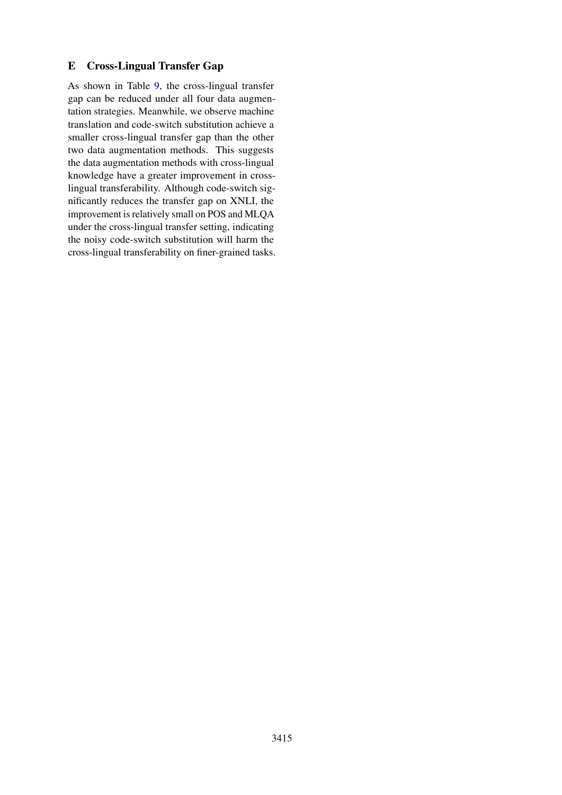# E Cross-Lingual Transfer Gap

As shown in Table [9,](#page-11-2) the cross-lingual transfer gap can be reduced under all four data augmentation strategies. Meanwhile, we observe machine translation and code-switch substitution achieve a smaller cross-lingual transfer gap than the other two data augmentation methods. This suggests the data augmentation methods with cross-lingual knowledge have a greater improvement in crosslingual transferability. Although code-switch significantly reduces the transfer gap on XNLI, the improvement is relatively small on POS and MLQA under the cross-lingual transfer setting, indicating the noisy code-switch substitution will harm the cross-lingual transferability on finer-grained tasks.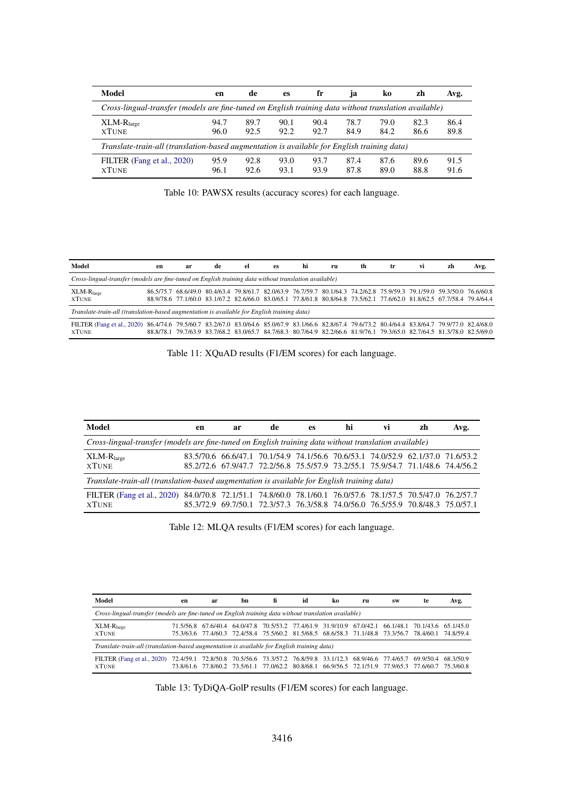| Model                                                                                                 | en           | de           | es           | fr           | 1a           | k0           | zh           | Avg.         |
|-------------------------------------------------------------------------------------------------------|--------------|--------------|--------------|--------------|--------------|--------------|--------------|--------------|
| Cross-lingual-transfer (models are fine-tuned on English training data without translation available) |              |              |              |              |              |              |              |              |
| $XLM-Rlarge$<br><b>XTUNE</b>                                                                          | 94.7<br>96.0 | 89.7<br>92.5 | 90.1<br>92.2 | 90.4<br>92.7 | 78.7<br>84.9 | 79.0<br>84.2 | 82.3<br>86.6 | 86.4<br>89.8 |
| Translate-train-all (translation-based augmentation is available for English training data)           |              |              |              |              |              |              |              |              |
| FILTER (Fang et al., 2020)<br><b>XTUNE</b>                                                            | 95.9<br>96.1 | 92.8<br>92.6 | 93.0<br>93.1 | 93.7<br>93.9 | 87.4<br>87.8 | 87.6<br>89.0 | 89.6<br>88.8 | 91.5<br>91.6 |

Table 10: PAWSX results (accuracy scores) for each language.

| Model                                                                                                                                                              | en | ar | de | el | es | hi                                                                                                                                                                                                                                                 | ru | th | tr. | vi | zh | Avg. |
|--------------------------------------------------------------------------------------------------------------------------------------------------------------------|----|----|----|----|----|----------------------------------------------------------------------------------------------------------------------------------------------------------------------------------------------------------------------------------------------------|----|----|-----|----|----|------|
| Cross-lingual-transfer (models are fine-tuned on English training data without translation available)                                                              |    |    |    |    |    |                                                                                                                                                                                                                                                    |    |    |     |    |    |      |
| $XLM-Rlarge$<br><b>XTUNE</b>                                                                                                                                       |    |    |    |    |    | 86,5/75.7 68,6/49.0 80,4/63.4 79,8/61.7 82,0/63.9 76,7/59.7 80,1/64.3 74,2/62.8 75,9/59.3 79,1/59.0 59,3/50.0 76,6/60.8<br>88.9/78.6 77.1/60.0 83.1/67.2 82.6/66.0 83.0/65.1 77.8/61.8 80.8/64.8 73.5/62.1 77.6/62.0 81.8/62.5 67.7/58.4 79.4/64.4 |    |    |     |    |    |      |
| Translate-train-all (translation-based augmentation is available for English training data)                                                                        |    |    |    |    |    |                                                                                                                                                                                                                                                    |    |    |     |    |    |      |
| FILTER (Fang et al., 2020) 86.4/74.6 79.5/60.7 83.2/67.0 83.0/64.6 85.0/67.9 83.1/66.6 82.8/67.4 79.6/73.2 80.4/64.4 83.8/64.7 79.9/77.0 82.4/68.0<br><b>XTUNE</b> |    |    |    |    |    | 88,8/78.1 79.7/63.9 83.7/68.2 83.0/65.7 84.7/68.3 80.7/64.9 82.2/66.6 81.9/76.1 79.3/65.0 82.7/64.5 81.3/78.0 82.5/69.0                                                                                                                            |    |    |     |    |    |      |

Table 11: XQuAD results (F1/EM scores) for each language.

| Model                                                                                                      | en | ar | de | es | hi | vi | zh                                                                              | Avg. |
|------------------------------------------------------------------------------------------------------------|----|----|----|----|----|----|---------------------------------------------------------------------------------|------|
| Cross-lingual-transfer (models are fine-tuned on English training data without translation available)      |    |    |    |    |    |    |                                                                                 |      |
| $XLM-Rlarge$                                                                                               |    |    |    |    |    |    | 83.5/70.6 66.6/47.1 70.1/54.9 74.1/56.6 70.6/53.1 74.0/52.9 62.1/37.0 71.6/53.2 |      |
| <b>XTUNE</b>                                                                                               |    |    |    |    |    |    | 85.2/72.6 67.9/47.7 72.2/56.8 75.5/57.9 73.2/55.1 75.9/54.7 71.1/48.6 74.4/56.2 |      |
| Translate-train-all (translation-based augmentation is available for English training data)                |    |    |    |    |    |    |                                                                                 |      |
| FILTER (Fang et al., 2020) 84.0/70.8 72.1/51.1 74.8/60.0 78.1/60.1 76.0/57.6 78.1/57.5 70.5/47.0 76.2/57.7 |    |    |    |    |    |    |                                                                                 |      |
| <b>XTUNE</b>                                                                                               |    |    |    |    |    |    | 85.3/72.9 69.7/50.1 72.3/57.3 76.3/58.8 74.0/56.0 76.5/55.9 70.8/48.3 75.0/57.1 |      |

Table 12: MLQA results (F1/EM scores) for each language.

| Model                                                                                                 | en        | hn<br>ar  |           | fi                                                                                                                                                                                                         | id | ko | ru | <b>SW</b> | te | Avg. |  |  |  |  |
|-------------------------------------------------------------------------------------------------------|-----------|-----------|-----------|------------------------------------------------------------------------------------------------------------------------------------------------------------------------------------------------------------|----|----|----|-----------|----|------|--|--|--|--|
| Cross-lingual-transfer (models are fine-tuned on English training data without translation available) |           |           |           |                                                                                                                                                                                                            |    |    |    |           |    |      |  |  |  |  |
| $XLM-Rlarge$<br><b>XTUNE</b>                                                                          |           |           |           | 71.5/56.8 67.6/40.4 64.0/47.8 70.5/53.2 77.4/61.9 31.9/10.9 67.0/42.1 66.1/48.1 70.1/43.6 65.1/45.0<br>75.3/63.6 77.4/60.3 72.4/58.4 75.5/60.2 81.5/68.5 68.6/58.3 71.1/48.8 73.3/56.7 78.4/60.1 74.8/59.4 |    |    |    |           |    |      |  |  |  |  |
| Translate-train-all (translation-based augmentation is available for English training data)           |           |           |           |                                                                                                                                                                                                            |    |    |    |           |    |      |  |  |  |  |
| FILTER (Fang et al., 2020)<br><b>XTUNE</b>                                                            | 72.4/59.1 | 72.8/50.8 | 70.5/56.6 | 73.3/57.2 76.8/59.8 33.1/12.3 68.9/46.6 77.4/65.7 69.9/50.4 68.3/50.9<br>73.8/61.6 77.8/60.2 73.5/61.1 77.0/62.2 80.8/68.1 66.9/56.5 72.1/51.9 77.9/65.3 77.6/60.7 75.3/60.8                               |    |    |    |           |    |      |  |  |  |  |

Table 13: TyDiQA-GolP results (F1/EM scores) for each language.